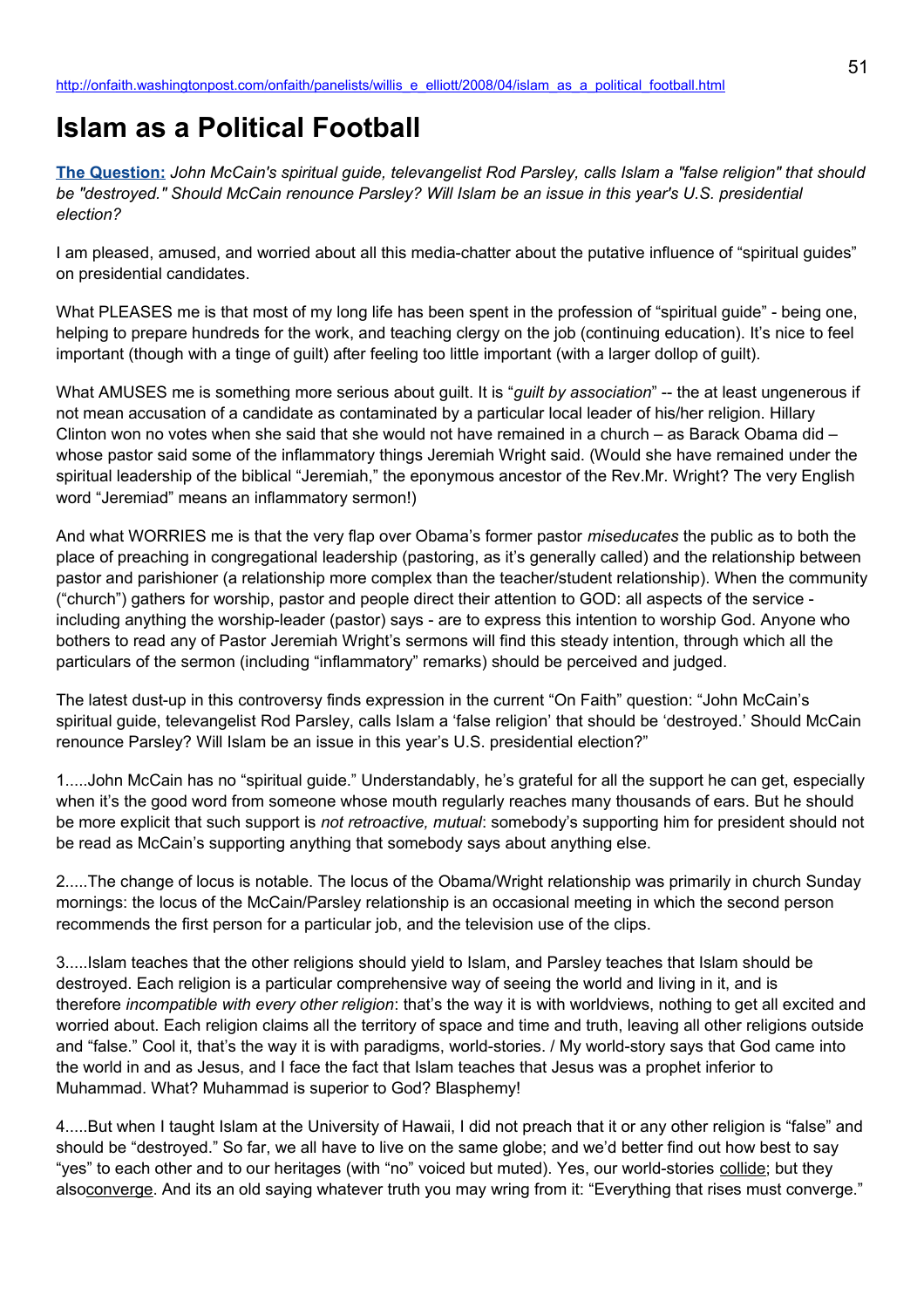## **Islam as a Political Football**

**[The Question:](http://newsweek.washingtonpost.com/onfaith/2008/04/mccain_parsley_and_islam/all.html)** *John McCain's spiritual guide, televangelist Rod Parsley, calls Islam a "false religion" that should be "destroyed." Should McCain renounce Parsley? Will Islam be an issue in this year's U.S. presidential election?*

I am pleased, amused, and worried about all this media-chatter about the putative influence of "spiritual guides" on presidential candidates.

What PLEASES me is that most of my long life has been spent in the profession of "spiritual guide" - being one, helping to prepare hundreds for the work, and teaching clergy on the job (continuing education). It's nice to feel important (though with a tinge of guilt) after feeling too little important (with a larger dollop of guilt).

What AMUSES me is something more serious about guilt. It is "*guilt by association*" -- the at least ungenerous if not mean accusation of a candidate as contaminated by a particular local leader of his/her religion. Hillary Clinton won no votes when she said that she would not have remained in a church – as Barack Obama did – whose pastor said some of the inflammatory things Jeremiah Wright said. (Would she have remained under the spiritual leadership of the biblical "Jeremiah," the eponymous ancestor of the Rev.Mr. Wright? The very English word "Jeremiad" means an inflammatory sermon!)

And what WORRIES me is that the very flap over Obama's former pastor *miseducates* the public as to both the place of preaching in congregational leadership (pastoring, as it's generally called) and the relationship between pastor and parishioner (a relationship more complex than the teacher/student relationship). When the community ("church") gathers for worship, pastor and people direct their attention to GOD: all aspects of the service including anything the worship-leader (pastor) says - are to express this intention to worship God. Anyone who bothers to read any of Pastor Jeremiah Wright's sermons will find this steady intention, through which all the particulars of the sermon (including "inflammatory" remarks) should be perceived and judged.

The latest dust-up in this controversy finds expression in the current "On Faith" question: "John McCain's spiritual guide, televangelist Rod Parsley, calls Islam a 'false religion' that should be 'destroyed.' Should McCain renounce Parsley? Will Islam be an issue in this year's U.S. presidential election?"

1.....John McCain has no "spiritual guide." Understandably, he's grateful for all the support he can get, especially when it's the good word from someone whose mouth regularly reaches many thousands of ears. But he should be more explicit that such support is *not retroactive, mutual*: somebody's supporting him for president should not be read as McCain's supporting anything that somebody says about anything else.

2.....The change of locus is notable. The locus of the Obama/Wright relationship was primarily in church Sunday mornings: the locus of the McCain/Parsley relationship is an occasional meeting in which the second person recommends the first person for a particular job, and the television use of the clips.

3.....Islam teaches that the other religions should yield to Islam, and Parsley teaches that Islam should be destroyed. Each religion is a particular comprehensive way of seeing the world and living in it, and is therefore *incompatible with every other religion*: that's the way it is with worldviews, nothing to get all excited and worried about. Each religion claims all the territory of space and time and truth, leaving all other religions outside and "false." Cool it, that's the way it is with paradigms, world-stories. / My world-story says that God came into the world in and as Jesus, and I face the fact that Islam teaches that Jesus was a prophet inferior to Muhammad. What? Muhammad is superior to God? Blasphemy!

4.....But when I taught Islam at the University of Hawaii, I did not preach that it or any other religion is "false" and should be "destroyed." So far, we all have to live on the same globe; and we'd better find out how best to say "yes" to each other and to our heritages (with "no" voiced but muted). Yes, our world-stories collide; but they alsoconverge. And its an old saying whatever truth you may wring from it: "Everything that rises must converge."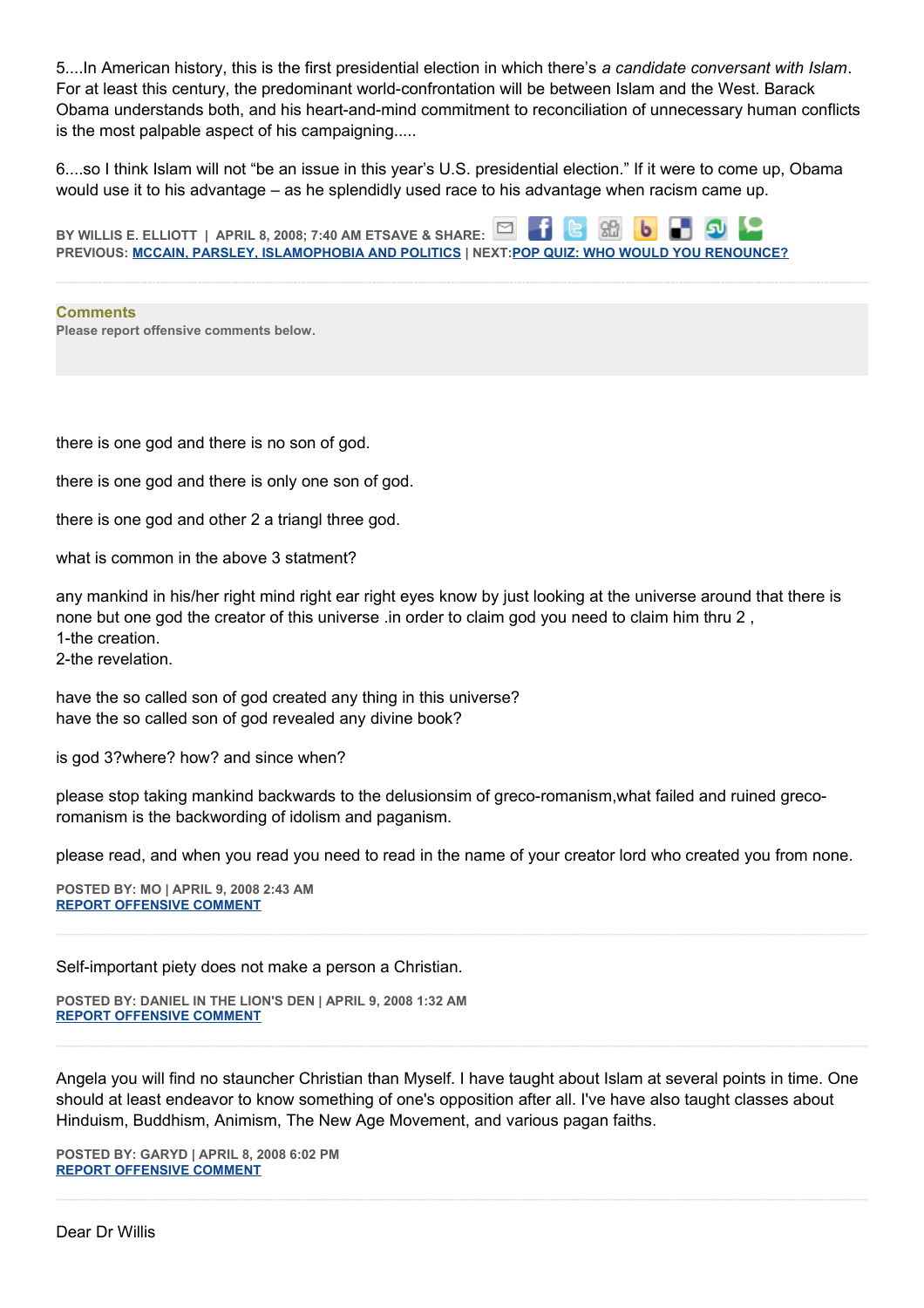5....In American history, this is the first presidential election in which there's *a candidate conversant with Islam*. For at least this century, the predominant world-confrontation will be between Islam and the West. Barack Obama understands both, and his heart-and-mind commitment to reconciliation of unnecessary human conflicts is the most palpable aspect of his campaigning.....

6....so I think Islam will not "be an issue in this year's U.S. presidential election." If it were to come up, Obama would use it to his advantage – as he splendidly used race to his advantage when racism came up.

86 **BY WILLIS E. ELLIOTT | APRIL 8, 2008; 7:40 AM ETSAVE & SHARE:** ы **PREVIOUS: [MCCAIN, PARSLEY, ISLAMOPHOBIA AND POLITICS](http://onfaith.washingtonpost.com/onfaith/panelists/pamela_k_taylor/2008/04/mccain_parsley_islamophobia_an.html) | NEXT[:POP QUIZ: WHO WOULD YOU RENOUNCE?](http://onfaith.washingtonpost.com/onfaith/panelists/sally_quinn/2008/04/pop_quiz_who_would_you_renounc.html)**

**Comments Please report offensive comments below.**

there is one god and there is no son of god.

there is one god and there is only one son of god.

there is one god and other 2 a triangl three god.

what is common in the above 3 statment?

any mankind in his/her right mind right ear right eyes know by just looking at the universe around that there is none but one god the creator of this universe .in order to claim god you need to claim him thru 2 , 1-the creation.

2-the revelation.

have the so called son of god created any thing in this universe? have the so called son of god revealed any divine book?

is god 3?where? how? and since when?

please stop taking mankind backwards to the delusionsim of greco-romanism,what failed and ruined grecoromanism is the backwording of idolism and paganism.

please read, and when you read you need to read in the name of your creator lord who created you from none.

**POSTED BY: MO | APRIL 9, 2008 2:43 AM [REPORT OFFENSIVE COMMENT](mailto:blogs@washingtonpost.com?subject=On%20Faith%20Panelists%20Blog%20%20%7C%20%20mo%20%20%7C%20%20Islam%20as%20a%20Political%20Football%20%20%7C%20%203065165&body=%0D%0D%0D%0D%0D================%0D?__mode=view%26_type=comment%26id=3065165%26blog_id=618)**

Self-important piety does not make a person a Christian.

**POSTED BY: DANIEL IN THE LION'S DEN | APRIL 9, 2008 1:32 AM [REPORT OFFENSIVE COMMENT](mailto:blogs@washingtonpost.com?subject=On%20Faith%20Panelists%20Blog%20%20%7C%20%20Daniel%20in%20the%20Lion)**

Angela you will find no stauncher Christian than Myself. I have taught about Islam at several points in time. One should at least endeavor to know something of one's opposition after all. I've have also taught classes about Hinduism, Buddhism, Animism, The New Age Movement, and various pagan faiths.

**POSTED BY: GARYD | APRIL 8, 2008 6:02 PM [REPORT OFFENSIVE COMMENT](mailto:blogs@washingtonpost.com?subject=On%20Faith%20Panelists%20Blog%20%20%7C%20%20Garyd%20%20%7C%20%20Islam%20as%20a%20Political%20Football%20%20%7C%20%203059900&body=%0D%0D%0D%0D%0D================%0D?__mode=view%26_type=comment%26id=3059900%26blog_id=618)**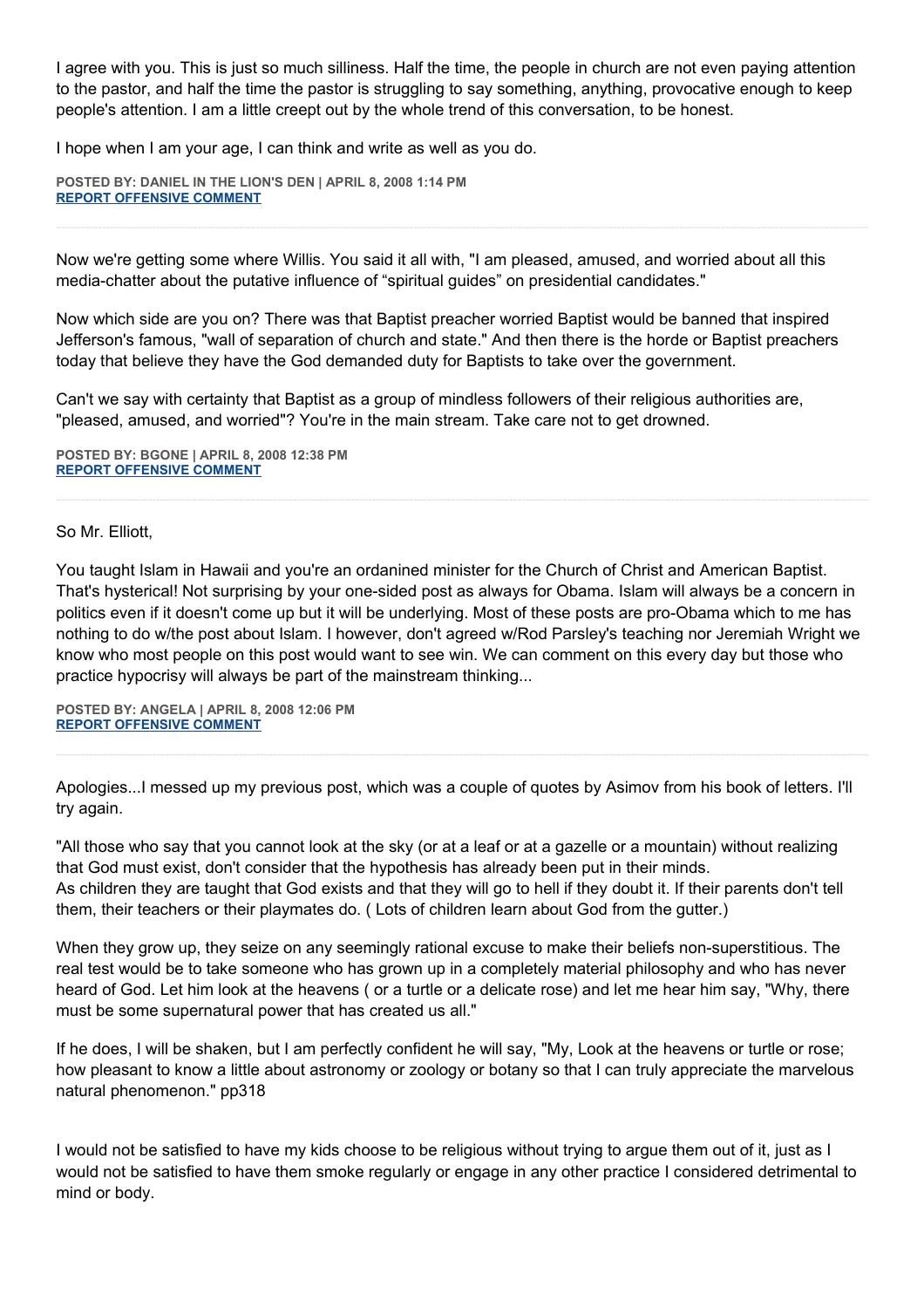I agree with you. This is just so much silliness. Half the time, the people in church are not even paying attention to the pastor, and half the time the pastor is struggling to say something, anything, provocative enough to keep people's attention. I am a little creept out by the whole trend of this conversation, to be honest.

I hope when I am your age, I can think and write as well as you do.

**POSTED BY: DANIEL IN THE LION'S DEN | APRIL 8, 2008 1:14 PM [REPORT OFFENSIVE COMMENT](mailto:blogs@washingtonpost.com?subject=On%20Faith%20Panelists%20Blog%20%20%7C%20%20Daniel%20in%20the%20Lion)**

Now we're getting some where Willis. You said it all with, "I am pleased, amused, and worried about all this media-chatter about the putative influence of "spiritual guides" on presidential candidates."

Now which side are you on? There was that Baptist preacher worried Baptist would be banned that inspired Jefferson's famous, "wall of separation of church and state." And then there is the horde or Baptist preachers today that believe they have the God demanded duty for Baptists to take over the government.

Can't we say with certainty that Baptist as a group of mindless followers of their religious authorities are, "pleased, amused, and worried"? You're in the main stream. Take care not to get drowned.

**POSTED BY: BGONE | APRIL 8, 2008 12:38 PM [REPORT OFFENSIVE COMMENT](mailto:blogs@washingtonpost.com?subject=On%20Faith%20Panelists%20Blog%20%20%7C%20%20BGone%20%20%7C%20%20Islam%20as%20a%20Political%20Football%20%20%7C%20%203056978&body=%0D%0D%0D%0D%0D================%0D?__mode=view%26_type=comment%26id=3056978%26blog_id=618)**

## So Mr. Elliott,

You taught Islam in Hawaii and you're an ordanined minister for the Church of Christ and American Baptist. That's hysterical! Not surprising by your one-sided post as always for Obama. Islam will always be a concern in politics even if it doesn't come up but it will be underlying. Most of these posts are pro-Obama which to me has nothing to do w/the post about Islam. I however, don't agreed w/Rod Parsley's teaching nor Jeremiah Wright we know who most people on this post would want to see win. We can comment on this every day but those who practice hypocrisy will always be part of the mainstream thinking...

**POSTED BY: ANGELA | APRIL 8, 2008 12:06 PM [REPORT OFFENSIVE COMMENT](mailto:blogs@washingtonpost.com?subject=On%20Faith%20Panelists%20Blog%20%20%7C%20%20Angela%20%20%7C%20%20Islam%20as%20a%20Political%20Football%20%20%7C%20%203056717&body=%0D%0D%0D%0D%0D================%0D?__mode=view%26_type=comment%26id=3056717%26blog_id=618)**

Apologies...I messed up my previous post, which was a couple of quotes by Asimov from his book of letters. I'll try again.

"All those who say that you cannot look at the sky (or at a leaf or at a gazelle or a mountain) without realizing that God must exist, don't consider that the hypothesis has already been put in their minds. As children they are taught that God exists and that they will go to hell if they doubt it. If their parents don't tell them, their teachers or their playmates do. ( Lots of children learn about God from the gutter.)

When they grow up, they seize on any seemingly rational excuse to make their beliefs non-superstitious. The real test would be to take someone who has grown up in a completely material philosophy and who has never heard of God. Let him look at the heavens ( or a turtle or a delicate rose) and let me hear him say, "Why, there must be some supernatural power that has created us all."

If he does, I will be shaken, but I am perfectly confident he will say, "My, Look at the heavens or turtle or rose; how pleasant to know a little about astronomy or zoology or botany so that I can truly appreciate the marvelous natural phenomenon." pp318

I would not be satisfied to have my kids choose to be religious without trying to argue them out of it, just as I would not be satisfied to have them smoke regularly or engage in any other practice I considered detrimental to mind or body.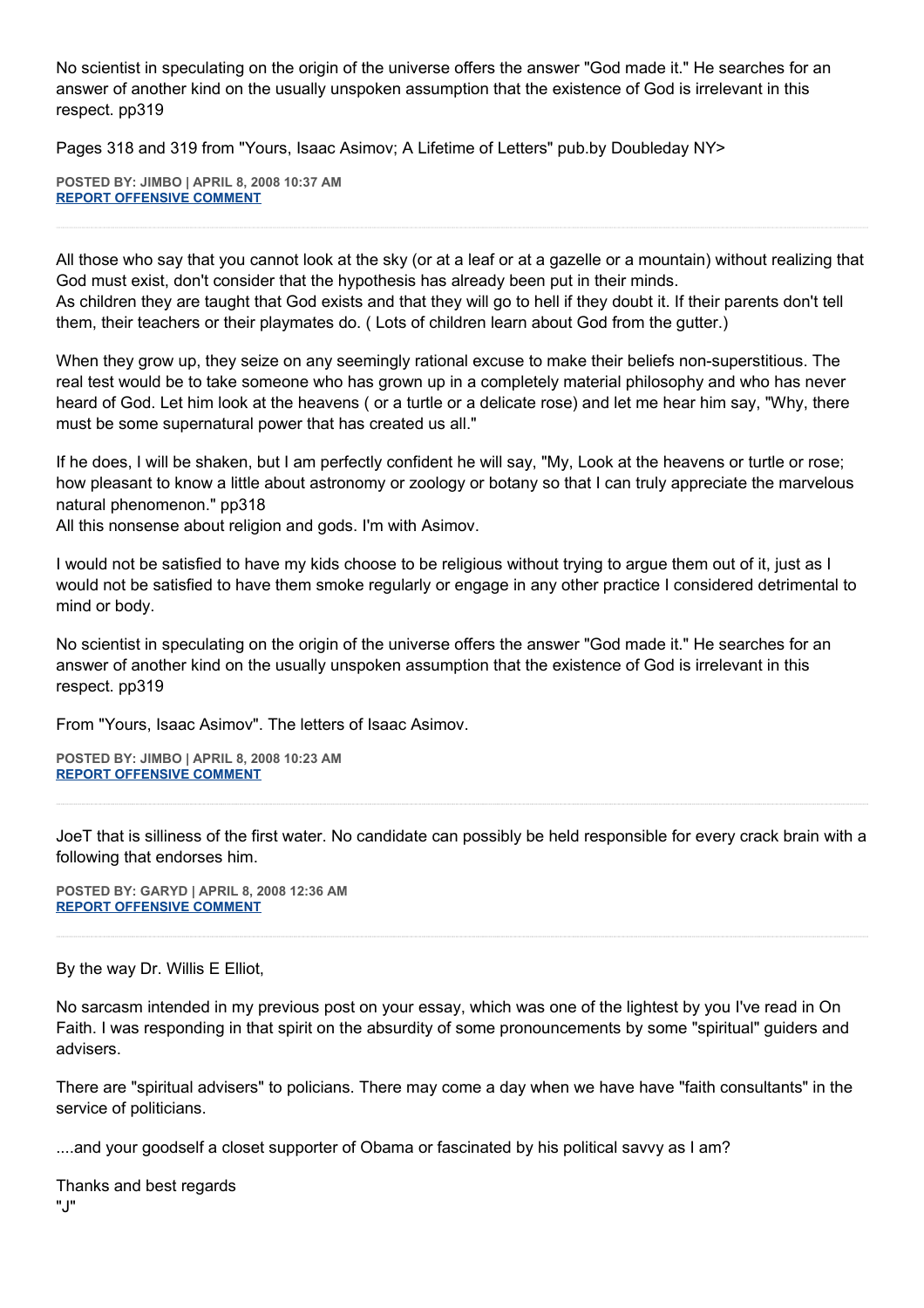No scientist in speculating on the origin of the universe offers the answer "God made it." He searches for an answer of another kind on the usually unspoken assumption that the existence of God is irrelevant in this respect. pp319

Pages 318 and 319 from "Yours, Isaac Asimov; A Lifetime of Letters" pub.by Doubleday NY>

**POSTED BY: JIMBO | APRIL 8, 2008 10:37 AM [REPORT OFFENSIVE COMMENT](mailto:blogs@washingtonpost.com?subject=On%20Faith%20Panelists%20Blog%20%20%7C%20%20Jimbo%20%20%7C%20%20Islam%20as%20a%20Political%20Football%20%20%7C%20%203055925&body=%0D%0D%0D%0D%0D================%0D?__mode=view%26_type=comment%26id=3055925%26blog_id=618)**

All those who say that you cannot look at the sky (or at a leaf or at a gazelle or a mountain) without realizing that God must exist, don't consider that the hypothesis has already been put in their minds. As children they are taught that God exists and that they will go to hell if they doubt it. If their parents don't tell them, their teachers or their playmates do. ( Lots of children learn about God from the gutter.)

When they grow up, they seize on any seemingly rational excuse to make their beliefs non-superstitious. The real test would be to take someone who has grown up in a completely material philosophy and who has never heard of God. Let him look at the heavens ( or a turtle or a delicate rose) and let me hear him say, "Why, there must be some supernatural power that has created us all."

If he does, I will be shaken, but I am perfectly confident he will say, "My, Look at the heavens or turtle or rose; how pleasant to know a little about astronomy or zoology or botany so that I can truly appreciate the marvelous natural phenomenon." pp318

All this nonsense about religion and gods. I'm with Asimov.

I would not be satisfied to have my kids choose to be religious without trying to argue them out of it, just as I would not be satisfied to have them smoke regularly or engage in any other practice I considered detrimental to mind or body.

No scientist in speculating on the origin of the universe offers the answer "God made it." He searches for an answer of another kind on the usually unspoken assumption that the existence of God is irrelevant in this respect. pp319

From "Yours, Isaac Asimov". The letters of Isaac Asimov.

**POSTED BY: JIMBO | APRIL 8, 2008 10:23 AM [REPORT OFFENSIVE COMMENT](mailto:blogs@washingtonpost.com?subject=On%20Faith%20Panelists%20Blog%20%20%7C%20%20Jimbo%20%20%7C%20%20Islam%20as%20a%20Political%20Football%20%20%7C%20%203055827&body=%0D%0D%0D%0D%0D================%0D?__mode=view%26_type=comment%26id=3055827%26blog_id=618)**

JoeT that is silliness of the first water. No candidate can possibly be held responsible for every crack brain with a following that endorses him.

**POSTED BY: GARYD | APRIL 8, 2008 12:36 AM [REPORT OFFENSIVE COMMENT](mailto:blogs@washingtonpost.com?subject=On%20Faith%20Panelists%20Blog%20%20%7C%20%20Garyd%20%20%7C%20%20Islam%20as%20a%20Political%20Football%20%20%7C%20%203051065&body=%0D%0D%0D%0D%0D================%0D?__mode=view%26_type=comment%26id=3051065%26blog_id=618)**

By the way Dr. Willis E Elliot,

No sarcasm intended in my previous post on your essay, which was one of the lightest by you I've read in On Faith. I was responding in that spirit on the absurdity of some pronouncements by some "spiritual" guiders and advisers.

There are "spiritual advisers" to policians. There may come a day when we have have "faith consultants" in the service of politicians.

....and your goodself a closet supporter of Obama or fascinated by his political savvy as I am?

Thanks and best regards "J"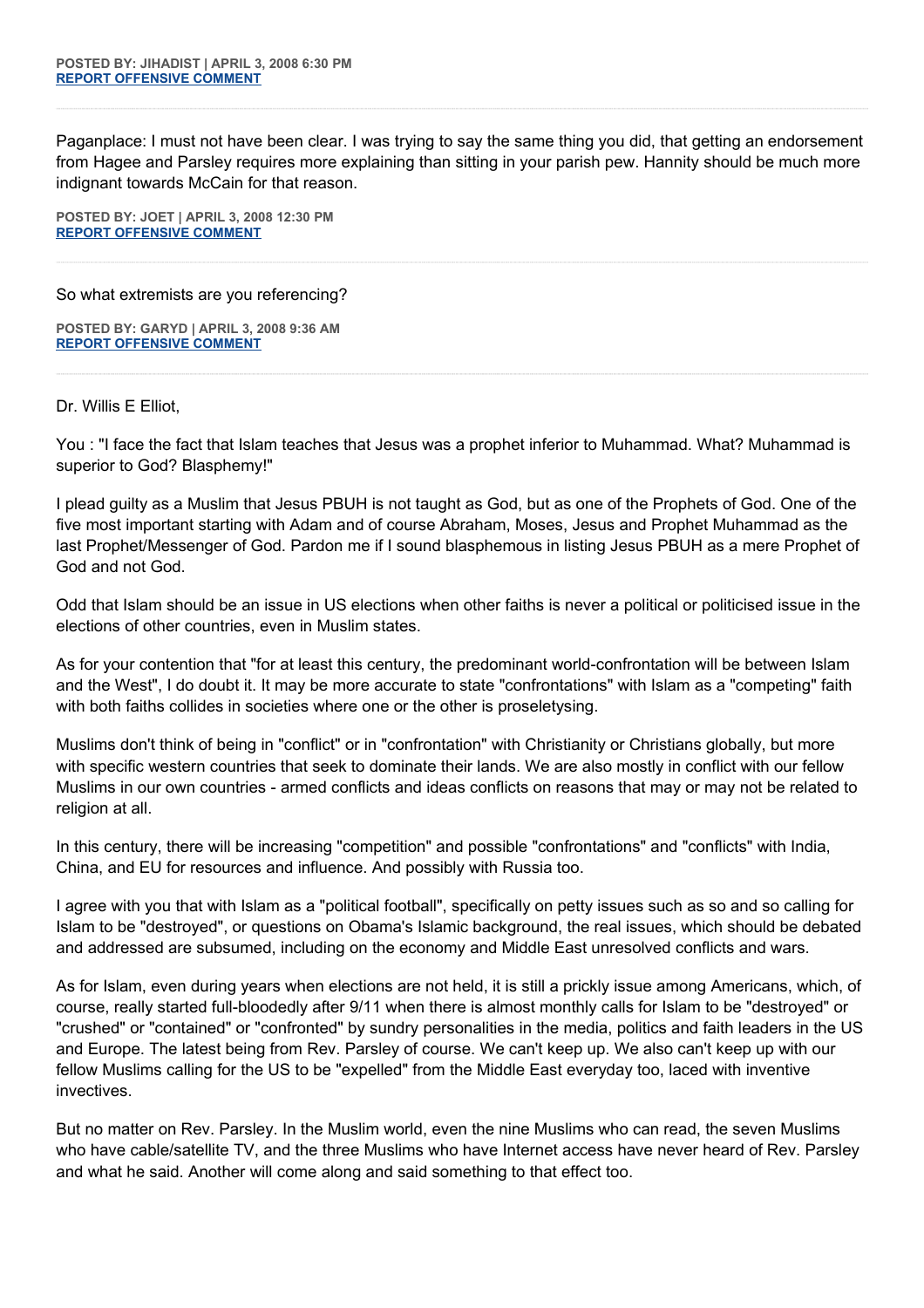Paganplace: I must not have been clear. I was trying to say the same thing you did, that getting an endorsement from Hagee and Parsley requires more explaining than sitting in your parish pew. Hannity should be much more indignant towards McCain for that reason.

**POSTED BY: JOET | APRIL 3, 2008 12:30 PM [REPORT OFFENSIVE COMMENT](mailto:blogs@washingtonpost.com?subject=On%20Faith%20Panelists%20Blog%20%20%7C%20%20JoeT%20%20%7C%20%20Islam%20as%20a%20Political%20Football%20%20%7C%20%202997606&body=%0D%0D%0D%0D%0D================%0D?__mode=view%26_type=comment%26id=2997606%26blog_id=618)**

So what extremists are you referencing?

**POSTED BY: GARYD | APRIL 3, 2008 9:36 AM [REPORT OFFENSIVE COMMENT](mailto:blogs@washingtonpost.com?subject=On%20Faith%20Panelists%20Blog%20%20%7C%20%20GAryd%20%20%7C%20%20Islam%20as%20a%20Political%20Football%20%20%7C%20%202996343&body=%0D%0D%0D%0D%0D================%0D?__mode=view%26_type=comment%26id=2996343%26blog_id=618)**

Dr. Willis E Elliot,

You : "I face the fact that Islam teaches that Jesus was a prophet inferior to Muhammad. What? Muhammad is superior to God? Blasphemy!"

I plead guilty as a Muslim that Jesus PBUH is not taught as God, but as one of the Prophets of God. One of the five most important starting with Adam and of course Abraham, Moses, Jesus and Prophet Muhammad as the last Prophet/Messenger of God. Pardon me if I sound blasphemous in listing Jesus PBUH as a mere Prophet of God and not God.

Odd that Islam should be an issue in US elections when other faiths is never a political or politicised issue in the elections of other countries, even in Muslim states.

As for your contention that "for at least this century, the predominant world-confrontation will be between Islam and the West", I do doubt it. It may be more accurate to state "confrontations" with Islam as a "competing" faith with both faiths collides in societies where one or the other is proseletysing.

Muslims don't think of being in "conflict" or in "confrontation" with Christianity or Christians globally, but more with specific western countries that seek to dominate their lands. We are also mostly in conflict with our fellow Muslims in our own countries - armed conflicts and ideas conflicts on reasons that may or may not be related to religion at all.

In this century, there will be increasing "competition" and possible "confrontations" and "conflicts" with India, China, and EU for resources and influence. And possibly with Russia too.

I agree with you that with Islam as a "political football", specifically on petty issues such as so and so calling for Islam to be "destroyed", or questions on Obama's Islamic background, the real issues, which should be debated and addressed are subsumed, including on the economy and Middle East unresolved conflicts and wars.

As for Islam, even during years when elections are not held, it is still a prickly issue among Americans, which, of course, really started full-bloodedly after 9/11 when there is almost monthly calls for Islam to be "destroyed" or "crushed" or "contained" or "confronted" by sundry personalities in the media, politics and faith leaders in the US and Europe. The latest being from Rev. Parsley of course. We can't keep up. We also can't keep up with our fellow Muslims calling for the US to be "expelled" from the Middle East everyday too, laced with inventive invectives.

But no matter on Rev. Parsley. In the Muslim world, even the nine Muslims who can read, the seven Muslims who have cable/satellite TV, and the three Muslims who have Internet access have never heard of Rev. Parsley and what he said. Another will come along and said something to that effect too.